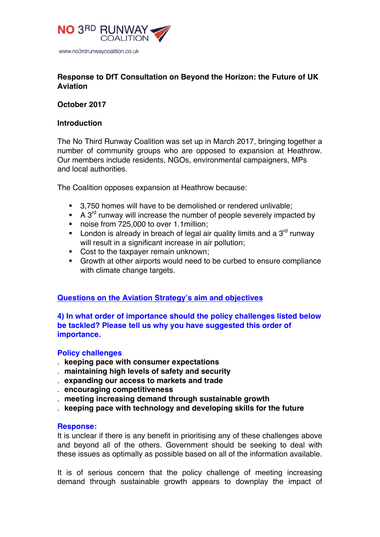

# **Response to DfT Consultation on Beyond the Horizon: the Future of UK Aviation**

# **October 2017**

# **Introduction**

The No Third Runway Coalition was set up in March 2017, bringing together a number of community groups who are opposed to expansion at Heathrow. Our members include residents, NGOs, environmental campaigners, MPs and local authorities.

The Coalition opposes expansion at Heathrow because:

- 3,750 homes will have to be demolished or rendered unlivable;
- A  $3^{rd}$  runway will increase the number of people severely impacted by
- noise from 725,000 to over 1.1 million;
- **•** London is already in breach of legal air quality limits and a  $3<sup>rd</sup>$  runway will result in a significant increase in air pollution;
- Cost to the taxpayer remain unknown;
- § Growth at other airports would need to be curbed to ensure compliance with climate change targets.

# **Questions on the Aviation Strategy's aim and objectives**

**4) In what order of importance should the policy challenges listed below be tackled? Please tell us why you have suggested this order of importance.** 

# **Policy challenges**

- . **keeping pace with consumer expectations**
- . **maintaining high levels of safety and security**
- . **expanding our access to markets and trade**
- . **encouraging competitiveness**
- . **meeting increasing demand through sustainable growth**
- . **keeping pace with technology and developing skills for the future**

## **Response:**

It is unclear if there is any benefit in prioritising any of these challenges above and beyond all of the others. Government should be seeking to deal with these issues as optimally as possible based on all of the information available.

It is of serious concern that the policy challenge of meeting increasing demand through sustainable growth appears to downplay the impact of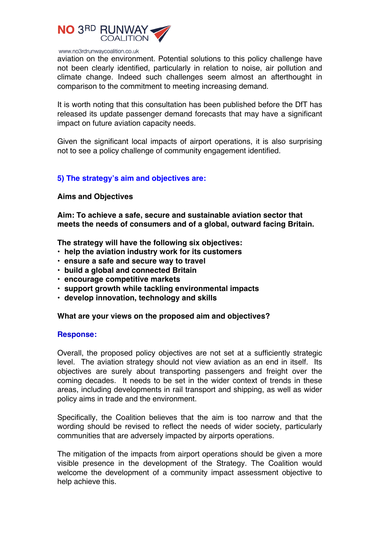

aviation on the environment. Potential solutions to this policy challenge have not been clearly identified, particularly in relation to noise, air pollution and climate change. Indeed such challenges seem almost an afterthought in comparison to the commitment to meeting increasing demand.

It is worth noting that this consultation has been published before the DfT has released its update passenger demand forecasts that may have a significant impact on future aviation capacity needs.

Given the significant local impacts of airport operations, it is also surprising not to see a policy challenge of community engagement identified.

# **5) The strategy's aim and objectives are:**

## **Aims and Objectives**

**Aim: To achieve a safe, secure and sustainable aviation sector that meets the needs of consumers and of a global, outward facing Britain.**

**The strategy will have the following six objectives:** 

- **help the aviation industry work for its customers**
- **ensure a safe and secure way to travel**
- **build a global and connected Britain**
- **encourage competitive markets**
- **support growth while tackling environmental impacts**
- **develop innovation, technology and skills**

## **What are your views on the proposed aim and objectives?**

#### **Response:**

Overall, the proposed policy objectives are not set at a sufficiently strategic level. The aviation strategy should not view aviation as an end in itself. Its objectives are surely about transporting passengers and freight over the coming decades. It needs to be set in the wider context of trends in these areas, including developments in rail transport and shipping, as well as wider policy aims in trade and the environment.

Specifically, the Coalition believes that the aim is too narrow and that the wording should be revised to reflect the needs of wider society, particularly communities that are adversely impacted by airports operations.

The mitigation of the impacts from airport operations should be given a more visible presence in the development of the Strategy. The Coalition would welcome the development of a community impact assessment objective to help achieve this.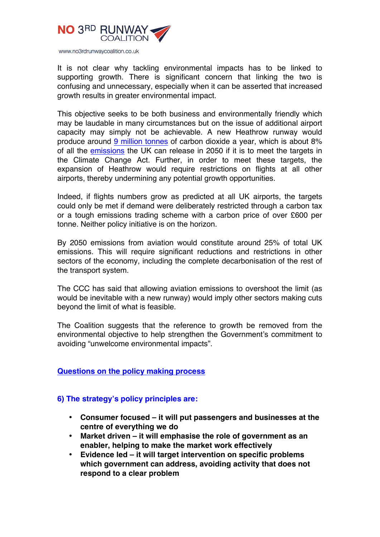

It is not clear why tackling environmental impacts has to be linked to supporting growth. There is significant concern that linking the two is confusing and unnecessary, especially when it can be asserted that increased growth results in greater environmental impact.

This objective seeks to be both business and environmentally friendly which may be laudable in many circumstances but on the issue of additional airport capacity may simply not be achievable. A new Heathrow runway would produce around 9 million tonnes of carbon dioxide a year, which is about 8% of all the emissions the UK can release in 2050 if it is to meet the targets in the Climate Change Act. Further, in order to meet these targets, the expansion of Heathrow would require restrictions on flights at all other airports, thereby undermining any potential growth opportunities.

Indeed, if flights numbers grow as predicted at all UK airports, the targets could only be met if demand were deliberately restricted through a carbon tax or a tough emissions trading scheme with a carbon price of over £600 per tonne. Neither policy initiative is on the horizon.

By 2050 emissions from aviation would constitute around 25% of total UK emissions. This will require significant reductions and restrictions in other sectors of the economy, including the complete decarbonisation of the rest of the transport system.

The CCC has said that allowing aviation emissions to overshoot the limit (as would be inevitable with a new runway) would imply other sectors making cuts beyond the limit of what is feasible.

The Coalition suggests that the reference to growth be removed from the environmental objective to help strengthen the Government's commitment to avoiding "unwelcome environmental impacts".

# **Questions on the policy making process**

# **6) The strategy's policy principles are:**

- **Consumer focused – it will put passengers and businesses at the centre of everything we do**
- **Market driven – it will emphasise the role of government as an enabler, helping to make the market work effectively**
- **Evidence led – it will target intervention on specific problems which government can address, avoiding activity that does not respond to a clear problem**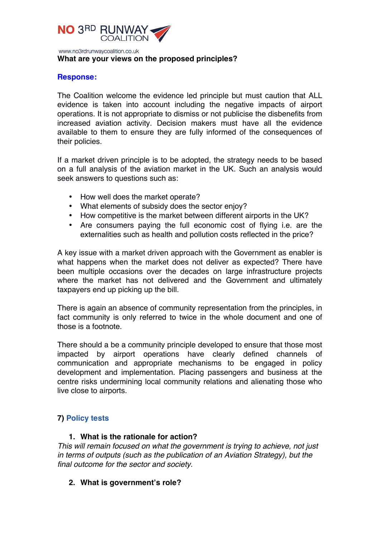

## **What are your views on the proposed principles?**

## **Response:**

The Coalition welcome the evidence led principle but must caution that ALL evidence is taken into account including the negative impacts of airport operations. It is not appropriate to dismiss or not publicise the disbenefits from increased aviation activity. Decision makers must have all the evidence available to them to ensure they are fully informed of the consequences of their policies.

If a market driven principle is to be adopted, the strategy needs to be based on a full analysis of the aviation market in the UK. Such an analysis would seek answers to questions such as:

- How well does the market operate?
- What elements of subsidy does the sector enjoy?
- How competitive is the market between different airports in the UK?
- Are consumers paying the full economic cost of flying i.e. are the externalities such as health and pollution costs reflected in the price?

A key issue with a market driven approach with the Government as enabler is what happens when the market does not deliver as expected? There have been multiple occasions over the decades on large infrastructure projects where the market has not delivered and the Government and ultimately taxpayers end up picking up the bill.

There is again an absence of community representation from the principles, in fact community is only referred to twice in the whole document and one of those is a footnote.

There should a be a community principle developed to ensure that those most impacted by airport operations have clearly defined channels of communication and appropriate mechanisms to be engaged in policy development and implementation. Placing passengers and business at the centre risks undermining local community relations and alienating those who live close to airports.

# **7) Policy tests**

# **1. What is the rationale for action?**

*This will remain focused on what the government is trying to achieve, not just in terms of outputs (such as the publication of an Aviation Strategy), but the final outcome for the sector and society.* 

**2. What is government's role?**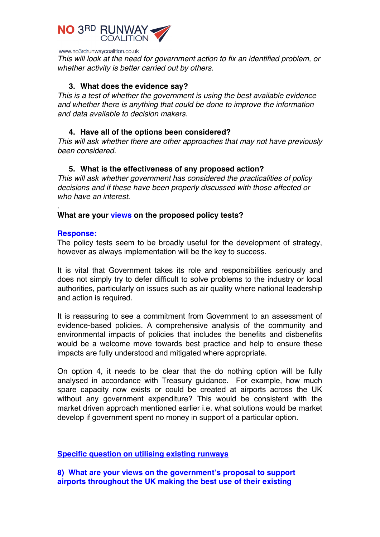

*This will look at the need for government action to fix an identified problem, or whether activity is better carried out by others.* 

# **3. What does the evidence say?**

*This is a test of whether the government is using the best available evidence and whether there is anything that could be done to improve the information and data available to decision makers.* 

# **4. Have all of the options been considered?**

*This will ask whether there are other approaches that may not have previously been considered.* 

# **5. What is the effectiveness of any proposed action?**

*This will ask whether government has considered the practicalities of policy decisions and if these have been properly discussed with those affected or who have an interest.* 

# **What are your views on the proposed policy tests?**

## **Response:**

.

The policy tests seem to be broadly useful for the development of strategy, however as always implementation will be the key to success.

It is vital that Government takes its role and responsibilities seriously and does not simply try to defer difficult to solve problems to the industry or local authorities, particularly on issues such as air quality where national leadership and action is required.

It is reassuring to see a commitment from Government to an assessment of evidence-based policies. A comprehensive analysis of the community and environmental impacts of policies that includes the benefits and disbenefits would be a welcome move towards best practice and help to ensure these impacts are fully understood and mitigated where appropriate.

On option 4, it needs to be clear that the do nothing option will be fully analysed in accordance with Treasury guidance. For example, how much spare capacity now exists or could be created at airports across the UK without any government expenditure? This would be consistent with the market driven approach mentioned earlier i.e. what solutions would be market develop if government spent no money in support of a particular option.

## **Specific question on utilising existing runways**

**8) What are your views on the government's proposal to support airports throughout the UK making the best use of their existing**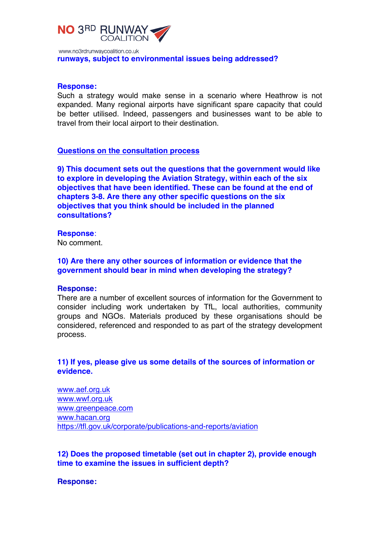

www.no3rdrunwaycoalition.co.uk **runways, subject to environmental issues being addressed?** 

#### **Response:**

Such a strategy would make sense in a scenario where Heathrow is not expanded. Many regional airports have significant spare capacity that could be better utilised. Indeed, passengers and businesses want to be able to travel from their local airport to their destination.

#### **Questions on the consultation process**

**9) This document sets out the questions that the government would like to explore in developing the Aviation Strategy, within each of the six objectives that have been identified. These can be found at the end of chapters 3-8. Are there any other specific questions on the six objectives that you think should be included in the planned consultations?** 

#### **Response**:

No comment.

# **10) Are there any other sources of information or evidence that the government should bear in mind when developing the strategy?**

#### **Response:**

There are a number of excellent sources of information for the Government to consider including work undertaken by TfL, local authorities, community groups and NGOs. Materials produced by these organisations should be considered, referenced and responded to as part of the strategy development process.

# **11) If yes, please give us some details of the sources of information or evidence.**

www.aef.org.uk www.wwf.org.uk www.greenpeace.com www.hacan.org https://tfl.gov.uk/corporate/publications-and-reports/aviation

**12) Does the proposed timetable (set out in chapter 2), provide enough time to examine the issues in sufficient depth?** 

**Response:**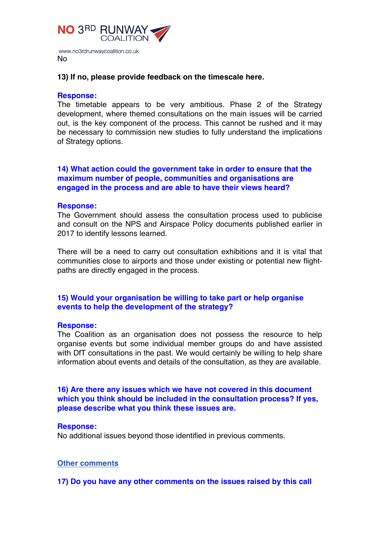

## **13) If no, please provide feedback on the timescale here.**

## **Response:**

The timetable appears to be very ambitious. Phase 2 of the Strategy development, where themed consultations on the main issues will be carried out, is the key component of the process. This cannot be rushed and it may be necessary to commission new studies to fully understand the implications of Strategy options.

# **14) What action could the government take in order to ensure that the maximum number of people, communities and organisations are engaged in the process and are able to have their views heard?**

#### **Response:**

The Government should assess the consultation process used to publicise and consult on the NPS and Airspace Policy documents published earlier in 2017 to identify lessons learned.

There will be a need to carry out consultation exhibitions and it is vital that communities close to airports and those under existing or potential new flightpaths are directly engaged in the process.

# **15) Would your organisation be willing to take part or help organise events to help the development of the strategy?**

#### **Response:**

The Coalition as an organisation does not possess the resource to help organise events but some individual member groups do and have assisted with DfT consultations in the past. We would certainly be willing to help share information about events and details of the consultation, as they are available.

# **16) Are there any issues which we have not covered in this document which you think should be included in the consultation process? If yes, please describe what you think these issues are.**

#### **Response:**

No additional issues beyond those identified in previous comments.

#### **Other comments**

**17) Do you have any other comments on the issues raised by this call**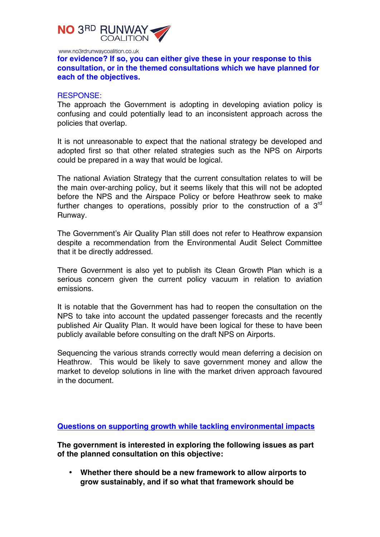

**for evidence? If so, you can either give these in your response to this consultation, or in the themed consultations which we have planned for each of the objectives.** 

#### RESPONSE:

The approach the Government is adopting in developing aviation policy is confusing and could potentially lead to an inconsistent approach across the policies that overlap.

It is not unreasonable to expect that the national strategy be developed and adopted first so that other related strategies such as the NPS on Airports could be prepared in a way that would be logical.

The national Aviation Strategy that the current consultation relates to will be the main over-arching policy, but it seems likely that this will not be adopted before the NPS and the Airspace Policy or before Heathrow seek to make further changes to operations, possibly prior to the construction of a 3<sup>rd</sup> Runway.

The Government's Air Quality Plan still does not refer to Heathrow expansion despite a recommendation from the Environmental Audit Select Committee that it be directly addressed.

There Government is also yet to publish its Clean Growth Plan which is a serious concern given the current policy vacuum in relation to aviation emissions.

It is notable that the Government has had to reopen the consultation on the NPS to take into account the updated passenger forecasts and the recently published Air Quality Plan. It would have been logical for these to have been publicly available before consulting on the draft NPS on Airports.

Sequencing the various strands correctly would mean deferring a decision on Heathrow. This would be likely to save government money and allow the market to develop solutions in line with the market driven approach favoured in the document.

**Questions on supporting growth while tackling environmental impacts**

**The government is interested in exploring the following issues as part of the planned consultation on this objective:**

• **Whether there should be a new framework to allow airports to grow sustainably, and if so what that framework should be**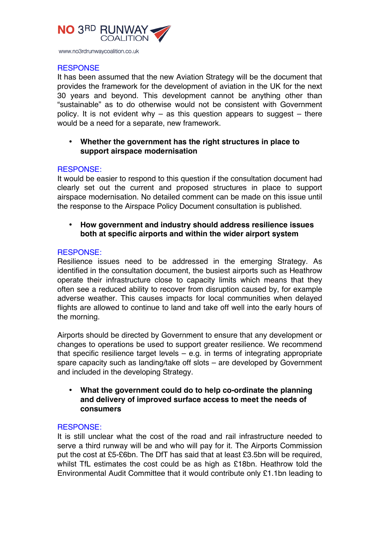

# **RESPONSE**

It has been assumed that the new Aviation Strategy will be the document that provides the framework for the development of aviation in the UK for the next 30 years and beyond. This development cannot be anything other than "sustainable" as to do otherwise would not be consistent with Government policy. It is not evident why – as this question appears to suggest – there would be a need for a separate, new framework.

# • **Whether the government has the right structures in place to support airspace modernisation**

# RESPONSE:

It would be easier to respond to this question if the consultation document had clearly set out the current and proposed structures in place to support airspace modernisation. No detailed comment can be made on this issue until the response to the Airspace Policy Document consultation is published.

# • **How government and industry should address resilience issues both at specific airports and within the wider airport system**

# RESPONSE:

Resilience issues need to be addressed in the emerging Strategy. As identified in the consultation document, the busiest airports such as Heathrow operate their infrastructure close to capacity limits which means that they often see a reduced ability to recover from disruption caused by, for example adverse weather. This causes impacts for local communities when delayed flights are allowed to continue to land and take off well into the early hours of the morning.

Airports should be directed by Government to ensure that any development or changes to operations be used to support greater resilience. We recommend that specific resilience target levels – e.g. in terms of integrating appropriate spare capacity such as landing/take off slots – are developed by Government and included in the developing Strategy.

• **What the government could do to help co-ordinate the planning and delivery of improved surface access to meet the needs of consumers**

## RESPONSE:

It is still unclear what the cost of the road and rail infrastructure needed to serve a third runway will be and who will pay for it. The Airports Commission put the cost at £5-£6bn. The DfT has said that at least £3.5bn will be required, whilst TfL estimates the cost could be as high as £18bn. Heathrow told the Environmental Audit Committee that it would contribute only £1.1bn leading to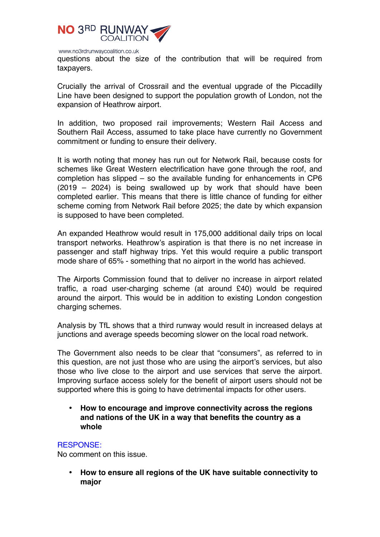

questions about the size of the contribution that will be required from taxpayers.

Crucially the arrival of Crossrail and the eventual upgrade of the Piccadilly Line have been designed to support the population growth of London, not the expansion of Heathrow airport.

In addition, two proposed rail improvements; Western Rail Access and Southern Rail Access, assumed to take place have currently no Government commitment or funding to ensure their delivery.

It is worth noting that money has run out for Network Rail, because costs for schemes like Great Western electrification have gone through the roof, and completion has slipped – so the available funding for enhancements in CP6 (2019 – 2024) is being swallowed up by work that should have been completed earlier. This means that there is little chance of funding for either scheme coming from Network Rail before 2025; the date by which expansion is supposed to have been completed.

An expanded Heathrow would result in 175,000 additional daily trips on local transport networks. Heathrow's aspiration is that there is no net increase in passenger and staff highway trips. Yet this would require a public transport mode share of 65% - something that no airport in the world has achieved.

The Airports Commission found that to deliver no increase in airport related traffic, a road user-charging scheme (at around £40) would be required around the airport. This would be in addition to existing London congestion charging schemes.

Analysis by TfL shows that a third runway would result in increased delays at junctions and average speeds becoming slower on the local road network.

The Government also needs to be clear that "consumers", as referred to in this question, are not just those who are using the airport's services, but also those who live close to the airport and use services that serve the airport. Improving surface access solely for the benefit of airport users should not be supported where this is going to have detrimental impacts for other users.

• **How to encourage and improve connectivity across the regions and nations of the UK in a way that benefits the country as a whole**

## RESPONSE:

No comment on this issue.

• **How to ensure all regions of the UK have suitable connectivity to major**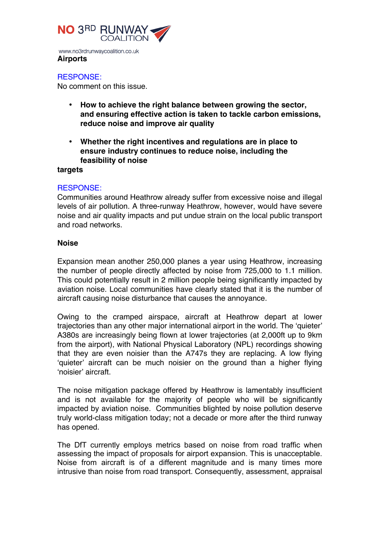

www.no3rdrunwaycoalition.co.uk **Airports**

RESPONSE:

No comment on this issue.

- **How to achieve the right balance between growing the sector, and ensuring effective action is taken to tackle carbon emissions, reduce noise and improve air quality**
- **Whether the right incentives and regulations are in place to ensure industry continues to reduce noise, including the feasibility of noise**

## **targets**

# RESPONSE:

Communities around Heathrow already suffer from excessive noise and illegal levels of air pollution. A three-runway Heathrow, however, would have severe noise and air quality impacts and put undue strain on the local public transport and road networks.

# **Noise**

Expansion mean another 250,000 planes a year using Heathrow, increasing the number of people directly affected by noise from 725,000 to 1.1 million. This could potentially result in 2 million people being significantly impacted by aviation noise. Local communities have clearly stated that it is the number of aircraft causing noise disturbance that causes the annoyance.

Owing to the cramped airspace, aircraft at Heathrow depart at lower trajectories than any other major international airport in the world. The 'quieter' A380s are increasingly being flown at lower trajectories (at 2,000ft up to 9km from the airport), with National Physical Laboratory (NPL) recordings showing that they are even noisier than the A747s they are replacing. A low flying 'quieter' aircraft can be much noisier on the ground than a higher flying 'noisier' aircraft.

The noise mitigation package offered by Heathrow is lamentably insufficient and is not available for the majority of people who will be significantly impacted by aviation noise. Communities blighted by noise pollution deserve truly world-class mitigation today; not a decade or more after the third runway has opened.

The DfT currently employs metrics based on noise from road traffic when assessing the impact of proposals for airport expansion. This is unacceptable. Noise from aircraft is of a different magnitude and is many times more intrusive than noise from road transport. Consequently, assessment, appraisal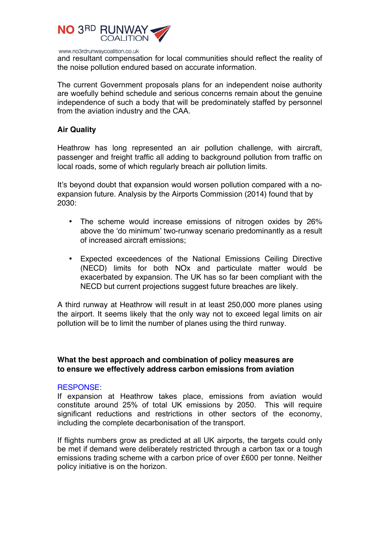

and resultant compensation for local communities should reflect the reality of the noise pollution endured based on accurate information.

The current Government proposals plans for an independent noise authority are woefully behind schedule and serious concerns remain about the genuine independence of such a body that will be predominately staffed by personnel from the aviation industry and the CAA.

# **Air Quality**

Heathrow has long represented an air pollution challenge, with aircraft, passenger and freight traffic all adding to background pollution from traffic on local roads, some of which regularly breach air pollution limits.

It's beyond doubt that expansion would worsen pollution compared with a noexpansion future. Analysis by the Airports Commission (2014) found that by 2030:

- The scheme would increase emissions of nitrogen oxides by 26% above the 'do minimum' two-runway scenario predominantly as a result of increased aircraft emissions;
- Expected exceedences of the National Emissions Ceiling Directive (NECD) limits for both NOx and particulate matter would be exacerbated by expansion. The UK has so far been compliant with the NECD but current projections suggest future breaches are likely.

A third runway at Heathrow will result in at least 250,000 more planes using the airport. It seems likely that the only way not to exceed legal limits on air pollution will be to limit the number of planes using the third runway.

# **What the best approach and combination of policy measures are to ensure we effectively address carbon emissions from aviation**

## RESPONSE:

If expansion at Heathrow takes place, emissions from aviation would constitute around 25% of total UK emissions by 2050. This will require significant reductions and restrictions in other sectors of the economy, including the complete decarbonisation of the transport.

If flights numbers grow as predicted at all UK airports, the targets could only be met if demand were deliberately restricted through a carbon tax or a tough emissions trading scheme with a carbon price of over £600 per tonne. Neither policy initiative is on the horizon.